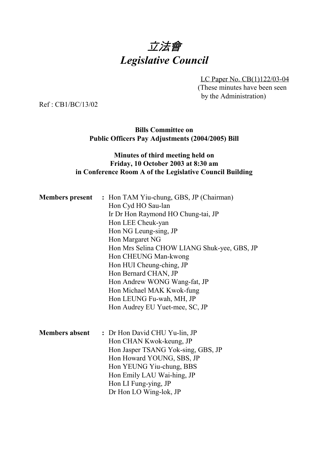# 立法會 *Legislative Council*

LC Paper No. CB(1)122/03-04 (These minutes have been seen by the Administration)

Ref : CB1/BC/13/02

#### **Bills Committee on Public Officers Pay Adjustments (2004/2005) Bill**

## **Minutes of third meeting held on Friday, 10 October 2003 at 8:30 am in Conference Room A of the Legislative Council Building**

| Hon Cyd HO Sau-lan<br>Ir Dr Hon Raymond HO Chung-tai, JP<br>Hon LEE Cheuk-yan<br>Hon NG Leung-sing, JP<br>Hon Margaret NG |
|---------------------------------------------------------------------------------------------------------------------------|
|                                                                                                                           |
|                                                                                                                           |
|                                                                                                                           |
|                                                                                                                           |
|                                                                                                                           |
| Hon Mrs Selina CHOW LIANG Shuk-yee, GBS, JP                                                                               |
| Hon CHEUNG Man-kwong                                                                                                      |
| Hon HUI Cheung-ching, JP                                                                                                  |
| Hon Bernard CHAN, JP                                                                                                      |
| Hon Andrew WONG Wang-fat, JP                                                                                              |
| Hon Michael MAK Kwok-fung                                                                                                 |
| Hon LEUNG Fu-wah, MH, JP                                                                                                  |
| Hon Audrey EU Yuet-mee, SC, JP                                                                                            |
| <b>Members absent</b><br>: Dr Hon David CHU Yu-lin, JP                                                                    |
| Hon CHAN Kwok-keung, JP                                                                                                   |
| Hon Jasper TSANG Yok-sing, GBS, JP                                                                                        |
| Hon Howard YOUNG, SBS, JP                                                                                                 |
| Hon YEUNG Yiu-chung, BBS                                                                                                  |
| Hon Emily LAU Wai-hing, JP                                                                                                |
| Hon LI Fung-ying, JP                                                                                                      |
| Dr Hon LO Wing-lok, JP                                                                                                    |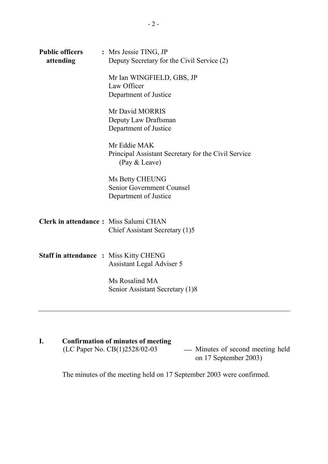| <b>Public officers</b><br>attending           | : Mrs Jessie TING, JP<br>Deputy Secretary for the Civil Service (2)                  |
|-----------------------------------------------|--------------------------------------------------------------------------------------|
|                                               | Mr Ian WINGFIELD, GBS, JP<br>Law Officer<br>Department of Justice                    |
|                                               | Mr David MORRIS<br>Deputy Law Draftsman<br>Department of Justice                     |
|                                               | Mr Eddie MAK<br>Principal Assistant Secretary for the Civil Service<br>(Pay & Leave) |
|                                               | Ms Betty CHEUNG<br>Senior Government Counsel<br>Department of Justice                |
| Clerk in attendance: Miss Salumi CHAN         | Chief Assistant Secretary (1)5                                                       |
| <b>Staff in attendance : Miss Kitty CHENG</b> | Assistant Legal Adviser 5                                                            |
|                                               | Ms Rosalind MA<br>Senior Assistant Secretary (1)8                                    |

# **I.** Confirmation of minutes of meeting<br>(LC Paper No. CB(1)2528/02-03

- Minutes of second meeting held on 17 September 2003)

The minutes of the meeting held on 17 September 2003 were confirmed.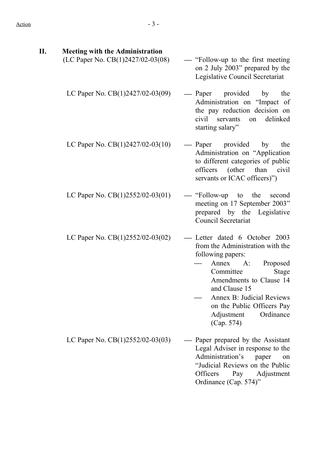| П. | <b>Meeting with the Administration</b> |                                                                                                                                                                                                                                                                                           |
|----|----------------------------------------|-------------------------------------------------------------------------------------------------------------------------------------------------------------------------------------------------------------------------------------------------------------------------------------------|
|    | (LC Paper No. CB(1)2427/02-03(08)      | — "Follow-up to the first meeting<br>on 2 July 2003" prepared by the<br>Legislative Council Secretariat                                                                                                                                                                                   |
|    | LC Paper No. $CB(1)2427/02-03(09)$     | — Paper provided<br>the<br>by<br>Administration on "Impact of<br>the pay reduction decision on<br>civil<br>servants<br>delinked<br>on<br>starting salary"                                                                                                                                 |
|    | LC Paper No. $CB(1)2427/02-03(10)$     | — Paper provided by<br>the<br>Administration on "Application<br>to different categories of public<br>officers (other than civil<br>servants or ICAC officers)")                                                                                                                           |
|    | LC Paper No. $CB(1)2552/02-03(01)$     | $\equiv$ "Follow-up to<br>the<br>second<br>meeting on 17 September 2003"<br>prepared by the Legislative<br>Council Secretariat                                                                                                                                                            |
|    | LC Paper No. $CB(1)2552/02-03(02)$     | Letter dated 6 October 2003<br>from the Administration with the<br>following papers:<br>Annex A:<br>Proposed<br>Committee<br><b>Stage</b><br>Amendments to Clause 14<br>and Clause 15<br>Annex B: Judicial Reviews<br>on the Public Officers Pay<br>Ordinance<br>Adjustment<br>(Cap. 574) |
|    | LC Paper No. $CB(1)2552/02-03(03)$     | Paper prepared by the Assistant<br>Legal Adviser in response to the<br>Administration's<br>paper<br>on<br>"Judicial Reviews on the Public<br>Officers<br>Pay<br>Adjustment<br>Ordinance (Cap. 574)"                                                                                       |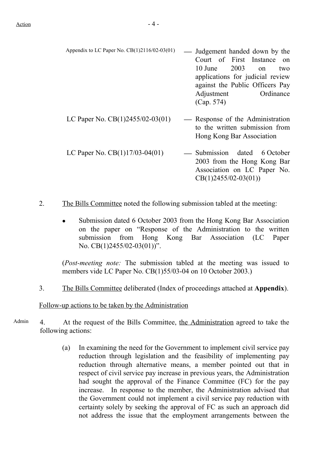- Appendix to LC Paper No. CB(1)2116/02-03(01) Judgement handed down by the Court of First Instance on 10 June 2003 on two applications for judicial review against the Public Officers Pay Adjustment Ordinance (Cap. 574)
- LC Paper No.  $CB(1)2455/02-03(01)$  Response of the Administration to the written submission from Hong Kong Bar Association LC Paper No.  $CB(1)17/03-04(01)$   $\qquad \qquad$  Submission dated 6 October 2003 from the Hong Kong Bar Association on LC Paper No. CB(1)2455/02-03(01))
- 2. The Bills Committee noted the following submission tabled at the meeting:
	- Submission dated 6 October 2003 from the Hong Kong Bar Association on the paper on "Response of the Administration to the written submission from Hong Kong Bar Association (LC Paper No. CB(1)2455/02-03(01))".

(*Post-meeting note:* The submission tabled at the meeting was issued to members vide LC Paper No. CB(1)55/03-04 on 10 October 2003.)

3. The Bills Committee deliberated (Index of proceedings attached at **Appendix**).

Follow-up actions to be taken by the Administration

- Admin 4. At the request of the Bills Committee, the Administration agreed to take the following actions:
	- (a) In examining the need for the Government to implement civil service pay reduction through legislation and the feasibility of implementing pay reduction through alternative means, a member pointed out that in respect of civil service pay increase in previous years, the Administration had sought the approval of the Finance Committee (FC) for the pay increase. In response to the member, the Administration advised that the Government could not implement a civil service pay reduction with certainty solely by seeking the approval of FC as such an approach did not address the issue that the employment arrangements between the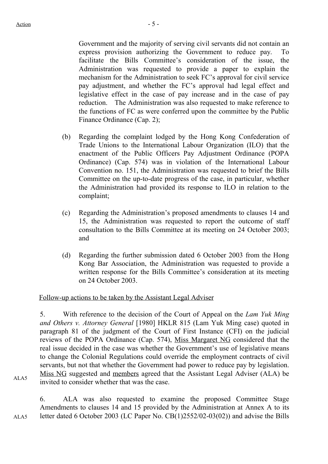Government and the majority of serving civil servants did not contain an express provision authorizing the Government to reduce pay. To facilitate the Bills Committee's consideration of the issue, the Administration was requested to provide a paper to explain the mechanism for the Administration to seek FC's approval for civil service pay adjustment, and whether the FC's approval had legal effect and legislative effect in the case of pay increase and in the case of pay reduction. The Administration was also requested to make reference to the functions of FC as were conferred upon the committee by the Public Finance Ordinance (Cap. 2);

- (b) Regarding the complaint lodged by the Hong Kong Confederation of Trade Unions to the International Labour Organization (ILO) that the enactment of the Public Officers Pay Adjustment Ordinance (POPA Ordinance) (Cap. 574) was in violation of the International Labour Convention no. 151, the Administration was requested to brief the Bills Committee on the up-to-date progress of the case, in particular, whether the Administration had provided its response to ILO in relation to the complaint;
- (c) Regarding the Administration's proposed amendments to clauses 14 and 15, the Administration was requested to report the outcome of staff consultation to the Bills Committee at its meeting on 24 October 2003; and
- (d) Regarding the further submission dated 6 October 2003 from the Hong Kong Bar Association, the Administration was requested to provide a written response for the Bills Committee's consideration at its meeting on 24 October 2003.

#### Follow-up actions to be taken by the Assistant Legal Adviser

5. With reference to the decision of the Court of Appeal on the *Lam Yuk Ming and Others v. Attorney General* [1980] HKLR 815 (Lam Yuk Ming case) quoted in paragraph 81 of the judgment of the Court of First Instance (CFI) on the judicial reviews of the POPA Ordinance (Cap. 574), Miss Margaret NG considered that the real issue decided in the case was whether the Government's use of legislative means to change the Colonial Regulations could override the employment contracts of civil servants, but not that whether the Government had power to reduce pay by legislation. Miss NG suggested and members agreed that the Assistant Legal Adviser (ALA) be invited to consider whether that was the case.

ALA5

6. ALA was also requested to examine the proposed Committee Stage Amendments to clauses 14 and 15 provided by the Administration at Annex A to its letter dated 6 October 2003 (LC Paper No. CB(1)2552/02-03(02)) and advise the Bills

ALA5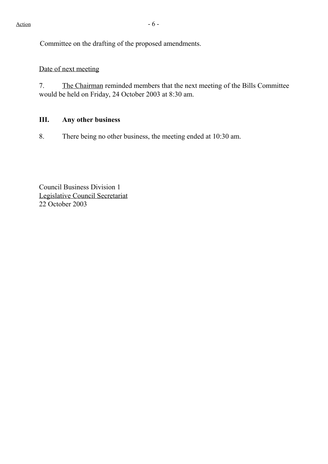Committee on the drafting of the proposed amendments.

# Date of next meeting

7. The Chairman reminded members that the next meeting of the Bills Committee would be held on Friday, 24 October 2003 at 8:30 am.

# **III. Any other business**

8. There being no other business, the meeting ended at 10:30 am.

Council Business Division 1 Legislative Council Secretariat 22 October 2003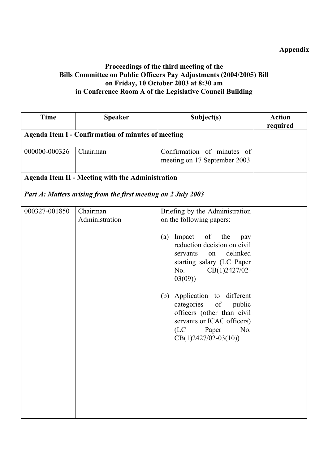# **Appendix**

# **Proceedings of the third meeting of the Bills Committee on Public Officers Pay Adjustments (2004/2005) Bill on Friday, 10 October 2003 at 8:30 am in Conference Room A of the Legislative Council Building**

| <b>Time</b>                                               | <b>Speaker</b>                                                | Subject(s)                                                                                                                                                                                                                                                                                                                                                                                          | <b>Action</b><br>required |  |
|-----------------------------------------------------------|---------------------------------------------------------------|-----------------------------------------------------------------------------------------------------------------------------------------------------------------------------------------------------------------------------------------------------------------------------------------------------------------------------------------------------------------------------------------------------|---------------------------|--|
| <b>Agenda Item I - Confirmation of minutes of meeting</b> |                                                               |                                                                                                                                                                                                                                                                                                                                                                                                     |                           |  |
| 000000-000326                                             | Chairman                                                      | Confirmation of minutes of<br>meeting on 17 September 2003                                                                                                                                                                                                                                                                                                                                          |                           |  |
|                                                           | <b>Agenda Item II - Meeting with the Administration</b>       |                                                                                                                                                                                                                                                                                                                                                                                                     |                           |  |
|                                                           | Part A: Matters arising from the first meeting on 2 July 2003 |                                                                                                                                                                                                                                                                                                                                                                                                     |                           |  |
| 000327-001850                                             | Chairman<br>Administration                                    | Briefing by the Administration<br>on the following papers:<br>Impact of<br>the<br>(a)<br>pay<br>reduction decision on civil<br>delinked<br>servants<br>on<br>starting salary (LC Paper<br>$CB(1)2427/02-$<br>No.<br>03(09)<br>Application to different<br>(b)<br>categories of public<br>officers (other than civil<br>servants or ICAC officers)<br>(LC)<br>Paper<br>No.<br>$CB(1)2427/02-03(10))$ |                           |  |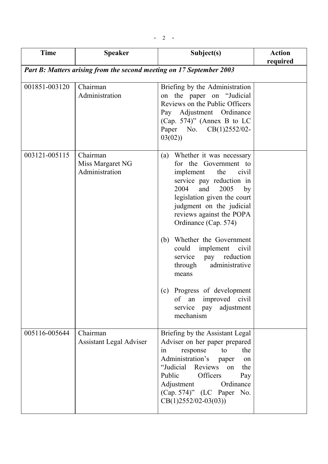| <b>Time</b>   | <b>Speaker</b>                                                       | Subject(s)                                                                                                                                                                                                                                                                                                                                                                                                                                                                                       | <b>Action</b><br>required |
|---------------|----------------------------------------------------------------------|--------------------------------------------------------------------------------------------------------------------------------------------------------------------------------------------------------------------------------------------------------------------------------------------------------------------------------------------------------------------------------------------------------------------------------------------------------------------------------------------------|---------------------------|
|               | Part B: Matters arising from the second meeting on 17 September 2003 |                                                                                                                                                                                                                                                                                                                                                                                                                                                                                                  |                           |
| 001851-003120 | Chairman<br>Administration                                           | Briefing by the Administration<br>on the paper on "Judicial"<br>Reviews on the Public Officers<br>Pay Adjustment Ordinance<br>(Cap. 574)" (Annex B to LC<br>Paper No. CB(1)2552/02-<br>03(02)                                                                                                                                                                                                                                                                                                    |                           |
| 003121-005115 | Chairman<br>Miss Margaret NG<br>Administration                       | Whether it was necessary<br>(a)<br>for the Government to<br>implement the<br>civil<br>service pay reduction in<br>2004<br>and<br>2005<br>by<br>legislation given the court<br>judgment on the judicial<br>reviews against the POPA<br>Ordinance (Cap. 574)<br>Whether the Government<br>(b)<br>could<br>implement<br>civil<br>reduction<br>service<br>pay<br>administrative<br>through<br>means<br>(c) Progress of development<br>of an improved civil<br>adjustment<br>service pay<br>mechanism |                           |
| 005116-005644 | Chairman<br><b>Assistant Legal Adviser</b>                           | Briefing by the Assistant Legal<br>Adviser on her paper prepared<br>response<br>to<br>the<br>in<br>Administration's<br>paper<br>on<br>"Judicial<br>Reviews<br>the<br>on<br>Public<br>Officers<br>Pay<br>Adjustment<br>Ordinance<br>(Cap. 574)" (LC Paper No.<br>$CB(1)2552/02-03(03))$                                                                                                                                                                                                           |                           |

 $- 2 -$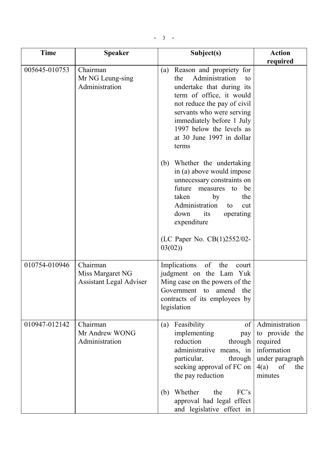| <b>Time</b>   | <b>Speaker</b>                                                 | Subject(s)                                                                                                                                                                                                                                                                                                                                                                                                                                                                                                                                    | <b>Action</b>                                                                                                  |
|---------------|----------------------------------------------------------------|-----------------------------------------------------------------------------------------------------------------------------------------------------------------------------------------------------------------------------------------------------------------------------------------------------------------------------------------------------------------------------------------------------------------------------------------------------------------------------------------------------------------------------------------------|----------------------------------------------------------------------------------------------------------------|
| 005645-010753 | Chairman<br>Mr NG Leung-sing<br>Administration                 | Reason and propriety for<br>(a)<br>Administration<br>the<br>to<br>undertake that during its<br>term of office, it would<br>not reduce the pay of civil<br>servants who were serving<br>immediately before 1 July<br>1997 below the levels as<br>at 30 June 1997 in dollar<br>terms<br>(b) Whether the undertaking<br>in (a) above would impose<br>unnecessary constraints on<br>future<br>measures<br>be<br>to<br>taken<br>by<br>the<br>Administration<br>to<br>cut<br>down<br>its<br>operating<br>expenditure<br>(LC Paper No. CB(1)2552/02- | required                                                                                                       |
| 010754-010946 | Chairman<br>Miss Margaret NG<br><b>Assistant Legal Adviser</b> | 03(02)<br>Implications<br>of<br>the<br>court<br>judgment on the Lam Yuk<br>Ming case on the powers of the<br>Government to amend<br>the<br>contracts of its employees by<br>legislation                                                                                                                                                                                                                                                                                                                                                       |                                                                                                                |
| 010947-012142 | Chairman<br>Mr Andrew WONG<br>Administration                   | Feasibility<br>of<br>(a)<br>implementing<br>pay<br>reduction<br>through<br>administrative means, in<br>particular,<br>through<br>seeking approval of FC on<br>the pay reduction                                                                                                                                                                                                                                                                                                                                                               | Administration<br>to provide the<br>required<br>information<br>under paragraph<br>4(a)<br>of<br>the<br>minutes |
|               |                                                                | FC's<br>Whether<br>the<br>(b)<br>approval had legal effect<br>and legislative effect in                                                                                                                                                                                                                                                                                                                                                                                                                                                       |                                                                                                                |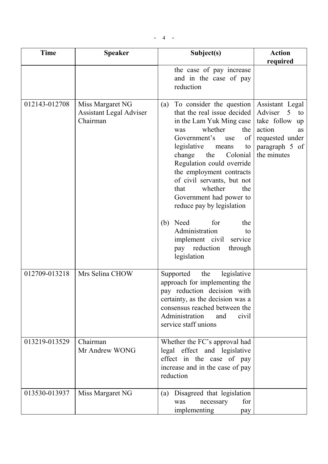| <b>Time</b>   | <b>Speaker</b>                                                 | Subject(s)                                                                                                                                                                                                                                                                                                                                                                                                                                                                                                         | <b>Action</b>                                                                                                                      |
|---------------|----------------------------------------------------------------|--------------------------------------------------------------------------------------------------------------------------------------------------------------------------------------------------------------------------------------------------------------------------------------------------------------------------------------------------------------------------------------------------------------------------------------------------------------------------------------------------------------------|------------------------------------------------------------------------------------------------------------------------------------|
|               |                                                                |                                                                                                                                                                                                                                                                                                                                                                                                                                                                                                                    | required                                                                                                                           |
|               |                                                                | the case of pay increase<br>and in the case of pay<br>reduction                                                                                                                                                                                                                                                                                                                                                                                                                                                    |                                                                                                                                    |
| 012143-012708 | Miss Margaret NG<br><b>Assistant Legal Adviser</b><br>Chairman | To consider the question<br>(a)<br>that the real issue decided<br>in the Lam Yuk Ming case<br>whether<br>the<br>was<br>Government's<br>of<br>use<br>legislative<br>means<br>to<br>the<br>Colonial<br>change<br>Regulation could override<br>the employment contracts<br>of civil servants, but not<br>whether<br>the<br>that<br>Government had power to<br>reduce pay by legislation<br>Need<br>for<br>(b)<br>the<br>Administration<br>to<br>implement civil service<br>reduction<br>pay<br>through<br>legislation | Assistant Legal<br>Adviser<br>5<br>to<br>take follow up<br>action<br><b>as</b><br>requested under<br>paragraph 5 of<br>the minutes |
|               |                                                                |                                                                                                                                                                                                                                                                                                                                                                                                                                                                                                                    |                                                                                                                                    |
| 012709-013218 | Mrs Selina CHOW                                                | legislative<br>Supported<br>the<br>approach for implementing the<br>pay reduction decision with<br>certainty, as the decision was a<br>consensus reached between the<br>Administration<br>civil<br>and<br>service staff unions                                                                                                                                                                                                                                                                                     |                                                                                                                                    |
| 013219-013529 | Chairman<br>Mr Andrew WONG                                     | Whether the FC's approval had<br>legal effect and legislative<br>effect in the case of pay<br>increase and in the case of pay<br>reduction                                                                                                                                                                                                                                                                                                                                                                         |                                                                                                                                    |
| 013530-013937 | Miss Margaret NG                                               | Disagreed that legislation<br>(a)<br>for<br>was<br>necessary<br>implementing<br>pay                                                                                                                                                                                                                                                                                                                                                                                                                                |                                                                                                                                    |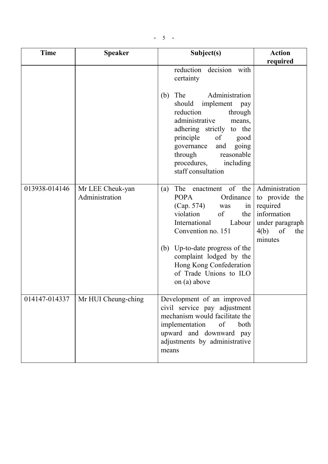$-5$  -

| <b>Time</b>   | <b>Speaker</b>                     | Subject(s)                                                                                                                                                                                                                                                                                        | <b>Action</b>                                                                                                  |
|---------------|------------------------------------|---------------------------------------------------------------------------------------------------------------------------------------------------------------------------------------------------------------------------------------------------------------------------------------------------|----------------------------------------------------------------------------------------------------------------|
|               |                                    |                                                                                                                                                                                                                                                                                                   | required                                                                                                       |
|               |                                    | reduction decision<br>with<br>certainty                                                                                                                                                                                                                                                           |                                                                                                                |
|               |                                    | The<br>Administration<br>(b)<br>should<br>implement<br>pay<br>reduction<br>through<br>administrative<br>means,<br>adhering strictly to the<br>principle<br>of<br>good<br>going<br>governance<br>and<br>through<br>reasonable<br>procedures,<br>including<br>staff consultation                    |                                                                                                                |
| 013938-014146 | Mr LEE Cheuk-yan<br>Administration | of<br>the<br>The enactment<br>(a)<br><b>POPA</b><br>Ordinance<br>(Cap. 574)<br>was<br>in <sub>1</sub><br>of<br>violation<br>the<br>International<br>Labour<br>Convention no. 151                                                                                                                  | Administration<br>to provide the<br>required<br>information<br>under paragraph<br>of<br>4(b)<br>the<br>minutes |
|               |                                    | Up-to-date progress of the<br>(b)<br>complaint lodged by the<br>Hong Kong Confederation<br>of Trade Unions to ILO<br>on (a) above                                                                                                                                                                 |                                                                                                                |
| 014147-014337 | Mr HUI Cheung-ching                | Development of an improved<br>civil service pay adjustment<br>mechanism would facilitate the<br>implementation<br>$% \left( \left( \mathcal{A},\mathcal{A}\right) \right) =\left( \mathcal{A},\mathcal{A}\right)$ of<br>both<br>upward and downward pay<br>adjustments by administrative<br>means |                                                                                                                |